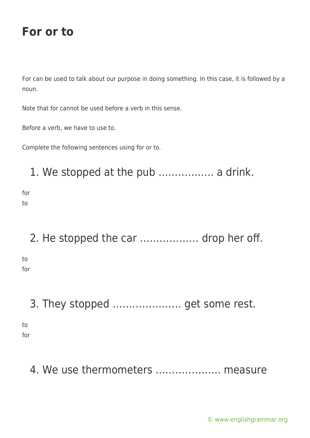For can be used to talk about our purpose in doing something. In this case, it is followed by a noun.

Note that for cannot be used before a verb in this sense.

Before a verb, we have to use to.

Complete the following sentences using for or to.

### 1. We stopped at the pub …………….. a drink.

for to

2. He stopped the car ……………… drop her off.

to for

### 3. They stopped ………………… get some rest.

to for

#### 4. We use thermometers ……………….. measure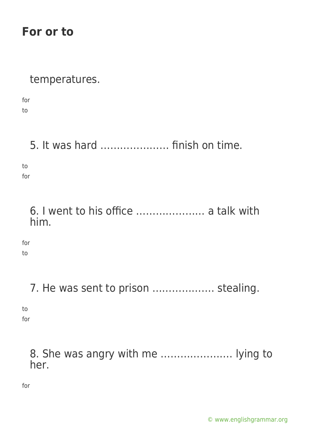temperatures.

for to

5. It was hard ………………… finish on time.

to for

> 6. I went to his office ………………… a talk with him.

for to

7. He was sent to prison ………………. stealing.

to

for

8. She was angry with me …………………. lying to her.

for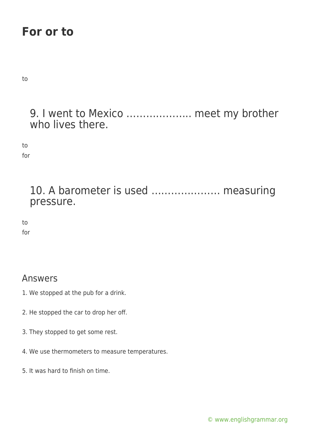to

#### 9. I went to Mexico ……………….. meet my brother who lives there.

to

for

#### 10. A barometer is used ………………… measuring pressure.

to for

#### Answers

- 1. We stopped at the pub for a drink.
- 2. He stopped the car to drop her off.
- 3. They stopped to get some rest.
- 4. We use thermometers to measure temperatures.
- 5. It was hard to finish on time.